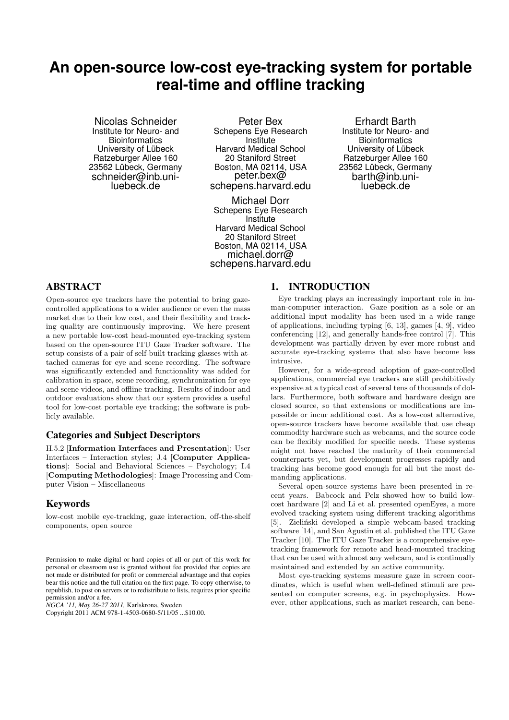# **An open-source low-cost eye-tracking system for portable real-time and offline tracking**

Nicolas Schneider Institute for Neuro- and **Bioinformatics** University of Lübeck Ratzeburger Allee 160 23562 Lübeck, Germany schneider@inb.uniluebeck.de

Peter Bex Schepens Eye Research Institute Harvard Medical School 20 Staniford Street Boston, MA 02114, USA peter.bex@ schepens.harvard.edu

Michael Dorr Schepens Eye Research Institute Harvard Medical School 20 Staniford Street Boston, MA 02114, USA michael.dorr@ schepens.harvard.edu

Erhardt Barth Institute for Neuro- and **Bioinformatics** University of Lübeck Ratzeburger Allee 160 23562 Lübeck, Germany barth@inb.uniluebeck.de

# ABSTRACT

Open-source eye trackers have the potential to bring gazecontrolled applications to a wider audience or even the mass market due to their low cost, and their flexibility and tracking quality are continuously improving. We here present a new portable low-cost head-mounted eye-tracking system based on the open-source ITU Gaze Tracker software. The setup consists of a pair of self-built tracking glasses with attached cameras for eye and scene recording. The software was significantly extended and functionality was added for calibration in space, scene recording, synchronization for eye and scene videos, and offline tracking. Results of indoor and outdoor evaluations show that our system provides a useful tool for low-cost portable eye tracking; the software is publicly available.

# Categories and Subject Descriptors

H.5.2 [Information Interfaces and Presentation]: User Interfaces – Interaction styles; J.4 [Computer Applications]: Social and Behavioral Sciences – Psychology; I.4 [Computing Methodologies]: Image Processing and Computer Vision – Miscellaneous

## Keywords

low-cost mobile eye-tracking, gaze interaction, off-the-shelf components, open source

*NGCA '11, May 26-27 2011,* Karlskrona, Sweden

Copyright 2011 ACM 978-1-4503-0680-5/11/05 ...\$10.00.

## 1. INTRODUCTION

Eye tracking plays an increasingly important role in human-computer interaction. Gaze position as a sole or an additional input modality has been used in a wide range of applications, including typing [6, 13], games [4, 9], video conferencing [12], and generally hands-free control [7]. This development was partially driven by ever more robust and accurate eye-tracking systems that also have become less intrusive.

However, for a wide-spread adoption of gaze-controlled applications, commercial eye trackers are still prohibitively expensive at a typical cost of several tens of thousands of dollars. Furthermore, both software and hardware design are closed source, so that extensions or modifications are impossible or incur additional cost. As a low-cost alternative, open-source trackers have become available that use cheap commodity hardware such as webcams, and the source code can be flexibly modified for specific needs. These systems might not have reached the maturity of their commercial counterparts yet, but development progresses rapidly and tracking has become good enough for all but the most demanding applications.

Several open-source systems have been presented in recent years. Babcock and Pelz showed how to build lowcost hardware [2] and Li et al. presented openEyes, a more evolved tracking system using different tracking algorithms [5]. Zieliński developed a simple webcam-based tracking software [14], and San Agustin et al. published the ITU Gaze Tracker [10]. The ITU Gaze Tracker is a comprehensive eyetracking framework for remote and head-mounted tracking that can be used with almost any webcam, and is continually maintained and extended by an active community.

Most eye-tracking systems measure gaze in screen coordinates, which is useful when well-defined stimuli are presented on computer screens, e.g. in psychophysics. However, other applications, such as market research, can bene-

Permission to make digital or hard copies of all or part of this work for personal or classroom use is granted without fee provided that copies are not made or distributed for profit or commercial advantage and that copies bear this notice and the full citation on the first page. To copy otherwise, to republish, to post on servers or to redistribute to lists, requires prior specific permission and/or a fee.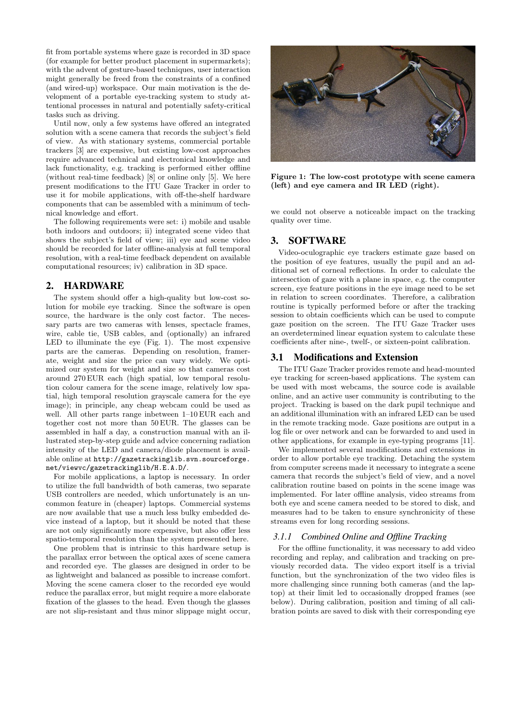fit from portable systems where gaze is recorded in 3D space (for example for better product placement in supermarkets); with the advent of gesture-based techniques, user interaction might generally be freed from the constraints of a confined (and wired-up) workspace. Our main motivation is the development of a portable eye-tracking system to study attentional processes in natural and potentially safety-critical tasks such as driving.

Until now, only a few systems have offered an integrated solution with a scene camera that records the subject's field of view. As with stationary systems, commercial portable trackers [3] are expensive, but existing low-cost approaches require advanced technical and electronical knowledge and lack functionality, e.g. tracking is performed either offline (without real-time feedback) [8] or online only [5]. We here present modifications to the ITU Gaze Tracker in order to use it for mobile applications, with off-the-shelf hardware components that can be assembled with a minimum of technical knowledge and effort.

The following requirements were set: i) mobile and usable both indoors and outdoors; ii) integrated scene video that shows the subject's field of view; iii) eye and scene video should be recorded for later offline-analysis at full temporal resolution, with a real-time feedback dependent on available computational resources; iv) calibration in 3D space.

# 2. HARDWARE

The system should offer a high-quality but low-cost solution for mobile eye tracking. Since the software is open source, the hardware is the only cost factor. The necessary parts are two cameras with lenses, spectacle frames, wire, cable tie, USB cables, and (optionally) an infrared LED to illuminate the eye (Fig. 1). The most expensive parts are the cameras. Depending on resolution, framerate, weight and size the price can vary widely. We optimized our system for weight and size so that cameras cost around 270 EUR each (high spatial, low temporal resolution colour camera for the scene image, relatively low spatial, high temporal resolution grayscale camera for the eye image); in principle, any cheap webcam could be used as well. All other parts range inbetween 1–10 EUR each and together cost not more than 50 EUR. The glasses can be assembled in half a day, a construction manual with an illustrated step-by-step guide and advice concerning radiation intensity of the LED and camera/diode placement is available online at http://gazetrackinglib.svn.sourceforge. net/viewvc/gazetrackinglib/H.E.A.D/.

For mobile applications, a laptop is necessary. In order to utilize the full bandwidth of both cameras, two separate USB controllers are needed, which unfortunately is an uncommon feature in (cheaper) laptops. Commercial systems are now available that use a much less bulky embedded device instead of a laptop, but it should be noted that these are not only significantly more expensive, but also offer less spatio-temporal resolution than the system presented here.

One problem that is intrinsic to this hardware setup is the parallax error between the optical axes of scene camera and recorded eye. The glasses are designed in order to be as lightweight and balanced as possible to increase comfort. Moving the scene camera closer to the recorded eye would reduce the parallax error, but might require a more elaborate fixation of the glasses to the head. Even though the glasses are not slip-resistant and thus minor slippage might occur,



Figure 1: The low-cost prototype with scene camera (left) and eye camera and IR LED (right).

we could not observe a noticeable impact on the tracking quality over time.

# 3. SOFTWARE

Video-oculographic eye trackers estimate gaze based on the position of eye features, usually the pupil and an additional set of corneal reflections. In order to calculate the intersection of gaze with a plane in space, e.g. the computer screen, eye feature positions in the eye image need to be set in relation to screen coordinates. Therefore, a calibration routine is typically performed before or after the tracking session to obtain coefficients which can be used to compute gaze position on the screen. The ITU Gaze Tracker uses an overdetermined linear equation system to calculate these coefficients after nine-, twelf-, or sixteen-point calibration.

## 3.1 Modifications and Extension

The ITU Gaze Tracker provides remote and head-mounted eye tracking for screen-based applications. The system can be used with most webcams, the source code is available online, and an active user community is contributing to the project. Tracking is based on the dark pupil technique and an additional illumination with an infrared LED can be used in the remote tracking mode. Gaze positions are output in a log file or over network and can be forwarded to and used in other applications, for example in eye-typing programs [11].

We implemented several modifications and extensions in order to allow portable eye tracking. Detaching the system from computer screens made it necessary to integrate a scene camera that records the subject's field of view, and a novel calibration routine based on points in the scene image was implemented. For later offline analysis, video streams from both eye and scene camera needed to be stored to disk, and measures had to be taken to ensure synchronicity of these streams even for long recording sessions.

## *3.1.1 Combined Online and Offline Tracking*

For the offline functionality, it was necessary to add video recording and replay, and calibration and tracking on previously recorded data. The video export itself is a trivial function, but the synchronization of the two video files is more challenging since running both cameras (and the laptop) at their limit led to occasionally dropped frames (see below). During calibration, position and timing of all calibration points are saved to disk with their corresponding eye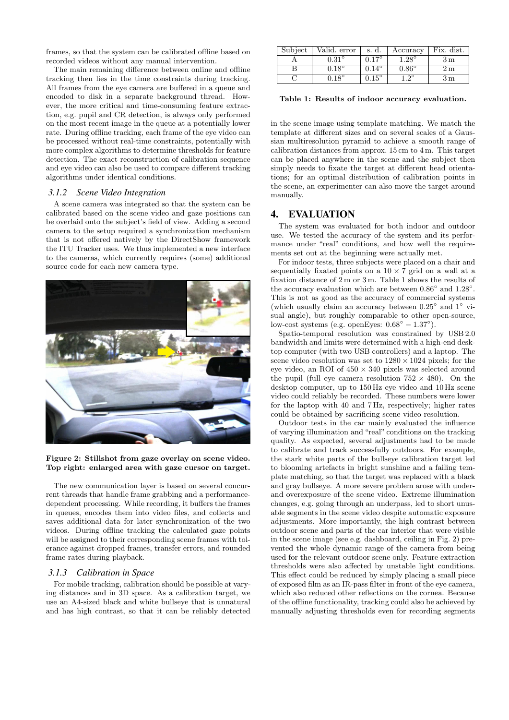frames, so that the system can be calibrated offline based on recorded videos without any manual intervention.

The main remaining difference between online and offline tracking then lies in the time constraints during tracking. All frames from the eye camera are buffered in a queue and encoded to disk in a separate background thread. However, the more critical and time-consuming feature extraction, e.g. pupil and CR detection, is always only performed on the most recent image in the queue at a potentially lower rate. During offline tracking, each frame of the eye video can be processed without real-time constraints, potentially with more complex algorithms to determine thresholds for feature detection. The exact reconstruction of calibration sequence and eye video can also be used to compare different tracking algorithms under identical conditions.

#### *3.1.2 Scene Video Integration*

A scene camera was integrated so that the system can be calibrated based on the scene video and gaze positions can be overlaid onto the subject's field of view. Adding a second camera to the setup required a synchronization mechanism that is not offered natively by the DirectShow framework the ITU Tracker uses. We thus implemented a new interface to the cameras, which currently requires (some) additional source code for each new camera type.



#### Figure 2: Stillshot from gaze overlay on scene video. Top right: enlarged area with gaze cursor on target.

The new communication layer is based on several concurrent threads that handle frame grabbing and a performancedependent processing. While recording, it buffers the frames in queues, encodes them into video files, and collects and saves additional data for later synchronization of the two videos. During offline tracking the calculated gaze points will be assigned to their corresponding scene frames with tolerance against dropped frames, transfer errors, and rounded frame rates during playback.

#### *3.1.3 Calibration in Space*

For mobile tracking, calibration should be possible at varying distances and in 3D space. As a calibration target, we use an A4-sized black and white bullseye that is unnatural and has high contrast, so that it can be reliably detected

| Subject | Valid. error | s. d.          | Accuracy       | Fix. dist. |
|---------|--------------|----------------|----------------|------------|
|         | $\rm 0.31$   | $0.17^{\circ}$ | $1.28^\circ$   | Зm         |
|         | $0.18^\circ$ | $0.14^\circ$   | $0.86^{\circ}$ | Ζm         |
|         | $18^\circ$   | $0.15^\circ$   | ഹ              | 3 m        |

Table 1: Results of indoor accuracy evaluation.

in the scene image using template matching. We match the template at different sizes and on several scales of a Gaussian multiresolution pyramid to achieve a smooth range of calibration distances from approx. 15 cm to 4 m. This target can be placed anywhere in the scene and the subject then simply needs to fixate the target at different head orientations; for an optimal distribution of calibration points in the scene, an experimenter can also move the target around manually.

#### 4. EVALUATION

The system was evaluated for both indoor and outdoor use. We tested the accuracy of the system and its performance under "real" conditions, and how well the requirements set out at the beginning were actually met.

For indoor tests, three subjects were placed on a chair and sequentially fixated points on a  $10 \times 7$  grid on a wall at a fixation distance of 2 m or 3 m. Table 1 shows the results of the accuracy evaluation which are between  $0.86^{\circ}$  and  $1.28^{\circ}$ . This is not as good as the accuracy of commercial systems (which usually claim an accuracy between 0.25◦ and 1◦ visual angle), but roughly comparable to other open-source, low-cost systems (e.g. openEyes:  $0.68° - 1.37°$ ).

Spatio-temporal resolution was constrained by USB 2.0 bandwidth and limits were determined with a high-end desktop computer (with two USB controllers) and a laptop. The scene video resolution was set to  $1280 \times 1024$  pixels; for the eye video, an ROI of  $450 \times 340$  pixels was selected around the pupil (full eye camera resolution  $752 \times 480$ ). On the desktop computer, up to 150 Hz eye video and 10 Hz scene video could reliably be recorded. These numbers were lower for the laptop with 40 and 7 Hz, respectively; higher rates could be obtained by sacrificing scene video resolution.

Outdoor tests in the car mainly evaluated the influence of varying illumination and "real" conditions on the tracking quality. As expected, several adjustments had to be made to calibrate and track successfully outdoors. For example, the stark white parts of the bullseye calibration target led to blooming artefacts in bright sunshine and a failing template matching, so that the target was replaced with a black and gray bullseye. A more severe problem arose with underand overexposure of the scene video. Extreme illumination changes, e.g. going through an underpass, led to short unusable segments in the scene video despite automatic exposure adjustments. More importantly, the high contrast between outdoor scene and parts of the car interior that were visible in the scene image (see e.g. dashboard, ceiling in Fig. 2) prevented the whole dynamic range of the camera from being used for the relevant outdoor scene only. Feature extraction thresholds were also affected by unstable light conditions. This effect could be reduced by simply placing a small piece of exposed film as an IR-pass filter in front of the eye camera, which also reduced other reflections on the cornea. Because of the offline functionality, tracking could also be achieved by manually adjusting thresholds even for recording segments